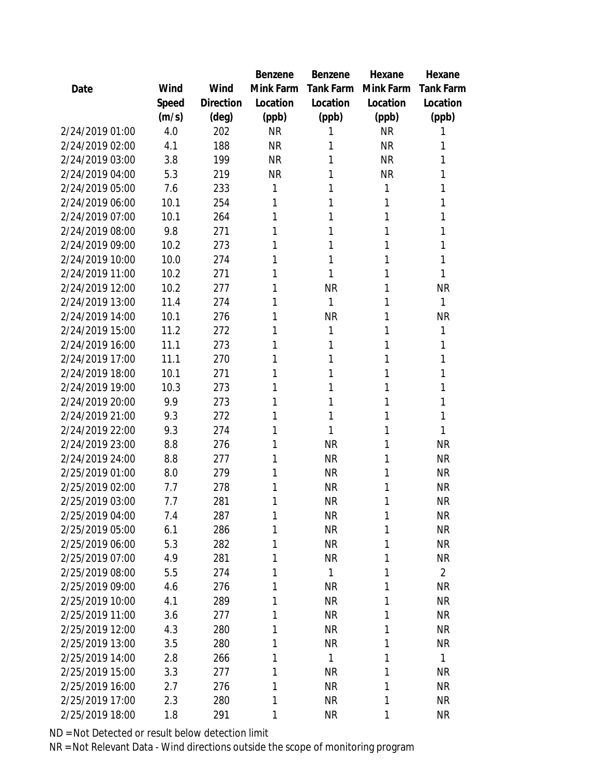|                 |       |           | Benzene   | <b>Benzene</b> | Hexane    | Hexane           |
|-----------------|-------|-----------|-----------|----------------|-----------|------------------|
| Date            | Wind  | Wind      | Mink Farm | Tank Farm      | Mink Farm | <b>Tank Farm</b> |
|                 | Speed | Direction | Location  | Location       | Location  | Location         |
|                 | (m/s) | (deg)     | (ppb)     | (ppb)          | (ppb)     | (ppb)            |
| 2/24/2019 01:00 | 4.0   | 202       | <b>NR</b> |                | <b>NR</b> | 1                |
| 2/24/2019 02:00 | 4.1   | 188       | <b>NR</b> | 1              | <b>NR</b> | 1                |
| 2/24/2019 03:00 | 3.8   | 199       | <b>NR</b> | 1              | <b>NR</b> | 1                |
| 2/24/2019 04:00 | 5.3   | 219       | <b>NR</b> | 1              | <b>NR</b> | 1                |
| 2/24/2019 05:00 | 7.6   | 233       | 1         | 1              | 1         | 1                |
| 2/24/2019 06:00 | 10.1  | 254       | 1         | 1              | 1         | 1                |
| 2/24/2019 07:00 | 10.1  | 264       | 1         | 1              | 1         | 1                |
| 2/24/2019 08:00 | 9.8   | 271       | 1         | 1              | 1         | 1                |
| 2/24/2019 09:00 | 10.2  | 273       | 1         | 1              | 1         | 1                |
| 2/24/2019 10:00 | 10.0  | 274       | 1         | 1              | 1         | 1                |
| 2/24/2019 11:00 | 10.2  | 271       | 1         | 1              | 1         | 1                |
| 2/24/2019 12:00 | 10.2  | 277       | 1         | <b>NR</b>      | 1         | <b>NR</b>        |
| 2/24/2019 13:00 | 11.4  | 274       | 1         | 1              | 1         | 1                |
| 2/24/2019 14:00 | 10.1  | 276       | 1         | <b>NR</b>      | 1         | <b>NR</b>        |
| 2/24/2019 15:00 | 11.2  | 272       | 1         | 1              | 1         | 1                |
| 2/24/2019 16:00 | 11.1  | 273       | 1         | 1              | 1         | 1                |
| 2/24/2019 17:00 | 11.1  | 270       | 1         | 1              | 1         | 1                |
| 2/24/2019 18:00 | 10.1  | 271       | 1         | 1              | 1         | 1                |
| 2/24/2019 19:00 | 10.3  | 273       | 1         | 1              | 1         | 1                |
| 2/24/2019 20:00 | 9.9   | 273       | 1         | 1              | 1         | 1                |
| 2/24/2019 21:00 | 9.3   | 272       | 1         | 1              | 1         | 1                |
| 2/24/2019 22:00 | 9.3   | 274       | 1         | 1              | 1         | 1                |
| 2/24/2019 23:00 | 8.8   | 276       | 1         | <b>NR</b>      | 1         | <b>NR</b>        |
| 2/24/2019 24:00 | 8.8   | 277       | 1         | <b>NR</b>      | 1         | <b>NR</b>        |
| 2/25/2019 01:00 | 8.0   | 279       | 1         | <b>NR</b>      | 1         | <b>NR</b>        |
| 2/25/2019 02:00 | 7.7   | 278       | 1         | <b>NR</b>      | 1         | <b>NR</b>        |
| 2/25/2019 03:00 | 7.7   | 281       | 1         | <b>NR</b>      | 1         | <b>NR</b>        |
| 2/25/2019 04:00 | 7.4   | 287       | 1         | <b>NR</b>      | 1         | <b>NR</b>        |
| 2/25/2019 05:00 | 6.1   | 286       | 1         | <b>NR</b>      | 1         | <b>NR</b>        |
| 2/25/2019 06:00 | 5.3   | 282       | 1         | <b>NR</b>      | 1         | <b>NR</b>        |
| 2/25/2019 07:00 | 4.9   | 281       | 1         | <b>NR</b>      | 1         | <b>NR</b>        |
| 2/25/2019 08:00 | 5.5   | 274       | 1         | 1              | 1         | $\overline{2}$   |
| 2/25/2019 09:00 | 4.6   | 276       | 1         | <b>NR</b>      | 1         | <b>NR</b>        |
| 2/25/2019 10:00 | 4.1   | 289       | 1         | <b>NR</b>      | 1         | <b>NR</b>        |
| 2/25/2019 11:00 | 3.6   | 277       | 1         | <b>NR</b>      | 1         | <b>NR</b>        |
| 2/25/2019 12:00 | 4.3   | 280       | 1         | <b>NR</b>      | 1         | <b>NR</b>        |
| 2/25/2019 13:00 | 3.5   | 280       | 1         | <b>NR</b>      | 1         | <b>NR</b>        |
| 2/25/2019 14:00 | 2.8   | 266       | 1         | 1              | 1         | $\mathbf{1}$     |
| 2/25/2019 15:00 | 3.3   | 277       | 1         | <b>NR</b>      | 1         | <b>NR</b>        |
| 2/25/2019 16:00 | 2.7   | 276       | 1         | <b>NR</b>      | 1         | NR               |
| 2/25/2019 17:00 | 2.3   | 280       | 1         | <b>NR</b>      | 1         | <b>NR</b>        |
| 2/25/2019 18:00 | 1.8   | 291       | 1         | <b>NR</b>      | 1         | <b>NR</b>        |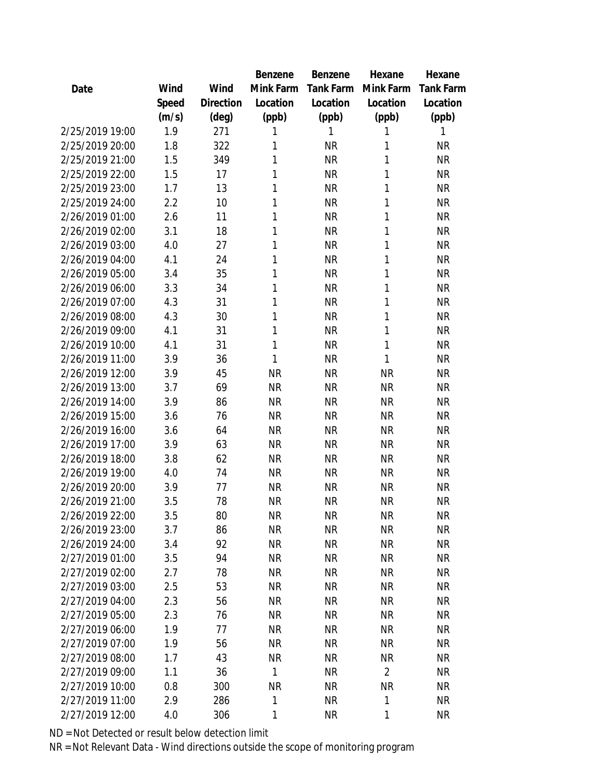|                 |       |           | <b>Benzene</b> | Benzene          | Hexane         | Hexane    |
|-----------------|-------|-----------|----------------|------------------|----------------|-----------|
| Date            | Wind  | Wind      | Mink Farm      | <b>Tank Farm</b> | Mink Farm      | Tank Farm |
|                 | Speed | Direction | Location       | Location         | Location       | Location  |
|                 | (m/s) | (deg)     | (ppb)          | (ppb)            | (ppb)          | (ppb)     |
| 2/25/2019 19:00 | 1.9   | 271       | 1              | 1                | 1              | 1         |
| 2/25/2019 20:00 | 1.8   | 322       | 1              | <b>NR</b>        | 1              | <b>NR</b> |
| 2/25/2019 21:00 | 1.5   | 349       | 1              | <b>NR</b>        | 1              | <b>NR</b> |
| 2/25/2019 22:00 | 1.5   | 17        | 1              | <b>NR</b>        | 1              | <b>NR</b> |
| 2/25/2019 23:00 | 1.7   | 13        | 1              | <b>NR</b>        | 1              | <b>NR</b> |
| 2/25/2019 24:00 | 2.2   | 10        | 1              | <b>NR</b>        | 1              | <b>NR</b> |
| 2/26/2019 01:00 | 2.6   | 11        | 1              | <b>NR</b>        | 1              | <b>NR</b> |
| 2/26/2019 02:00 | 3.1   | 18        | 1              | <b>NR</b>        | 1              | <b>NR</b> |
| 2/26/2019 03:00 | 4.0   | 27        | 1              | <b>NR</b>        | 1              | <b>NR</b> |
| 2/26/2019 04:00 | 4.1   | 24        | 1              | <b>NR</b>        | 1              | <b>NR</b> |
| 2/26/2019 05:00 | 3.4   | 35        | 1              | <b>NR</b>        | 1              | <b>NR</b> |
| 2/26/2019 06:00 | 3.3   | 34        | 1              | <b>NR</b>        | 1              | <b>NR</b> |
| 2/26/2019 07:00 | 4.3   | 31        | 1              | <b>NR</b>        | 1              | <b>NR</b> |
| 2/26/2019 08:00 | 4.3   | 30        | 1              | <b>NR</b>        | 1              | <b>NR</b> |
| 2/26/2019 09:00 | 4.1   | 31        | 1              | <b>NR</b>        | 1              | <b>NR</b> |
| 2/26/2019 10:00 | 4.1   | 31        | 1              | <b>NR</b>        | 1              | <b>NR</b> |
| 2/26/2019 11:00 | 3.9   | 36        | 1              | <b>NR</b>        | 1              | <b>NR</b> |
| 2/26/2019 12:00 | 3.9   | 45        | <b>NR</b>      | <b>NR</b>        | <b>NR</b>      | <b>NR</b> |
| 2/26/2019 13:00 | 3.7   | 69        | <b>NR</b>      | <b>NR</b>        | <b>NR</b>      | <b>NR</b> |
| 2/26/2019 14:00 | 3.9   | 86        | <b>NR</b>      | <b>NR</b>        | <b>NR</b>      | <b>NR</b> |
| 2/26/2019 15:00 | 3.6   | 76        | <b>NR</b>      | <b>NR</b>        | <b>NR</b>      | <b>NR</b> |
| 2/26/2019 16:00 | 3.6   | 64        | <b>NR</b>      | <b>NR</b>        | <b>NR</b>      | <b>NR</b> |
| 2/26/2019 17:00 | 3.9   | 63        | <b>NR</b>      | <b>NR</b>        | <b>NR</b>      | <b>NR</b> |
| 2/26/2019 18:00 | 3.8   | 62        | <b>NR</b>      | <b>NR</b>        | <b>NR</b>      | <b>NR</b> |
| 2/26/2019 19:00 | 4.0   | 74        | <b>NR</b>      | <b>NR</b>        | <b>NR</b>      | <b>NR</b> |
| 2/26/2019 20:00 | 3.9   | 77        | <b>NR</b>      | <b>NR</b>        | <b>NR</b>      | <b>NR</b> |
| 2/26/2019 21:00 | 3.5   | 78        | <b>NR</b>      | <b>NR</b>        | <b>NR</b>      | <b>NR</b> |
| 2/26/2019 22:00 | 3.5   | 80        | <b>NR</b>      | <b>NR</b>        | <b>NR</b>      | <b>NR</b> |
| 2/26/2019 23:00 | 3.7   | 86        | <b>NR</b>      | <b>NR</b>        | <b>NR</b>      | <b>NR</b> |
| 2/26/2019 24:00 | 3.4   | 92        | <b>NR</b>      | <b>NR</b>        | <b>NR</b>      | <b>NR</b> |
| 2/27/2019 01:00 | 3.5   | 94        | <b>NR</b>      | <b>NR</b>        | <b>NR</b>      | <b>NR</b> |
| 2/27/2019 02:00 | 2.7   | 78        | <b>NR</b>      | <b>NR</b>        | <b>NR</b>      | <b>NR</b> |
| 2/27/2019 03:00 | 2.5   | 53        | <b>NR</b>      | <b>NR</b>        | <b>NR</b>      | <b>NR</b> |
| 2/27/2019 04:00 | 2.3   | 56        | <b>NR</b>      | <b>NR</b>        | <b>NR</b>      | <b>NR</b> |
| 2/27/2019 05:00 | 2.3   | 76        | <b>NR</b>      | <b>NR</b>        | <b>NR</b>      | <b>NR</b> |
| 2/27/2019 06:00 | 1.9   | 77        | <b>NR</b>      | <b>NR</b>        | ΝR             | <b>NR</b> |
| 2/27/2019 07:00 | 1.9   | 56        | <b>NR</b>      | <b>NR</b>        | <b>NR</b>      | <b>NR</b> |
| 2/27/2019 08:00 | 1.7   | 43        | <b>NR</b>      | <b>NR</b>        | <b>NR</b>      | <b>NR</b> |
| 2/27/2019 09:00 | 1.1   | 36        | 1              | <b>NR</b>        | $\overline{2}$ | <b>NR</b> |
| 2/27/2019 10:00 | 0.8   | 300       | <b>NR</b>      | <b>NR</b>        | <b>NR</b>      | <b>NR</b> |
| 2/27/2019 11:00 | 2.9   | 286       | 1              | <b>NR</b>        | 1              | <b>NR</b> |
| 2/27/2019 12:00 | 4.0   | 306       | 1              | <b>NR</b>        | 1              | <b>NR</b> |
|                 |       |           |                |                  |                |           |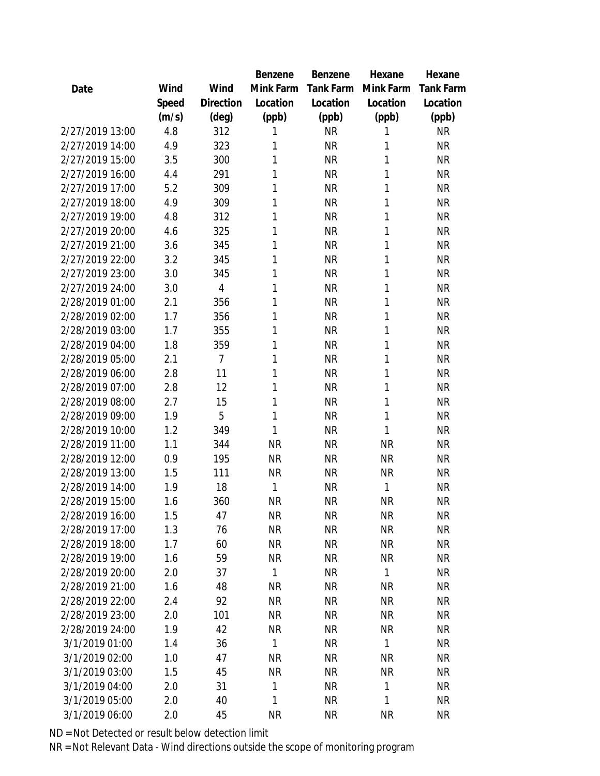|                 |       |                | Benzene   | Benzene   | Hexane    | Hexane           |
|-----------------|-------|----------------|-----------|-----------|-----------|------------------|
| Date            | Wind  | Wind           | Mink Farm | Tank Farm | Mink Farm | <b>Tank Farm</b> |
|                 | Speed | Direction      | Location  | Location  | Location  | Location         |
|                 | (m/s) | (deg)          | (ppb)     | (ppb)     | (ppb)     | (ppb)            |
| 2/27/2019 13:00 | 4.8   | 312            | 1         | <b>NR</b> | 1         | <b>NR</b>        |
| 2/27/2019 14:00 | 4.9   | 323            | 1         | <b>NR</b> | 1         | <b>NR</b>        |
| 2/27/2019 15:00 | 3.5   | 300            | 1         | <b>NR</b> | 1         | <b>NR</b>        |
| 2/27/2019 16:00 | 4.4   | 291            | 1         | <b>NR</b> | 1         | <b>NR</b>        |
| 2/27/2019 17:00 | 5.2   | 309            | 1         | <b>NR</b> | 1         | <b>NR</b>        |
| 2/27/2019 18:00 | 4.9   | 309            | 1         | <b>NR</b> | 1         | <b>NR</b>        |
| 2/27/2019 19:00 | 4.8   | 312            | 1         | <b>NR</b> | 1         | <b>NR</b>        |
| 2/27/2019 20:00 | 4.6   | 325            | 1         | <b>NR</b> | 1         | <b>NR</b>        |
| 2/27/2019 21:00 | 3.6   | 345            | 1         | <b>NR</b> | 1         | <b>NR</b>        |
| 2/27/2019 22:00 | 3.2   | 345            | 1         | <b>NR</b> | 1         | <b>NR</b>        |
| 2/27/2019 23:00 | 3.0   | 345            | 1         | <b>NR</b> | 1         | <b>NR</b>        |
| 2/27/2019 24:00 | 3.0   | $\overline{4}$ | 1         | <b>NR</b> | 1         | <b>NR</b>        |
| 2/28/2019 01:00 | 2.1   | 356            | 1         | <b>NR</b> | 1         | <b>NR</b>        |
| 2/28/2019 02:00 | 1.7   | 356            | 1         | <b>NR</b> | 1         | <b>NR</b>        |
| 2/28/2019 03:00 | 1.7   | 355            | 1         | <b>NR</b> | 1         | <b>NR</b>        |
| 2/28/2019 04:00 | 1.8   | 359            | 1         | <b>NR</b> | 1         | <b>NR</b>        |
| 2/28/2019 05:00 | 2.1   | $\overline{7}$ | 1         | <b>NR</b> | 1         | <b>NR</b>        |
| 2/28/2019 06:00 | 2.8   | 11             | 1         | <b>NR</b> | 1         | <b>NR</b>        |
| 2/28/2019 07:00 | 2.8   | 12             | 1         | <b>NR</b> | 1         | <b>NR</b>        |
| 2/28/2019 08:00 | 2.7   | 15             | 1         | <b>NR</b> | 1         | ΝR               |
| 2/28/2019 09:00 | 1.9   | 5              | 1         | <b>NR</b> | 1         | <b>NR</b>        |
| 2/28/2019 10:00 | 1.2   | 349            | 1         | <b>NR</b> | 1         | <b>NR</b>        |
| 2/28/2019 11:00 | 1.1   | 344            | <b>NR</b> | <b>NR</b> | <b>NR</b> | <b>NR</b>        |
| 2/28/2019 12:00 | 0.9   | 195            | <b>NR</b> | <b>NR</b> | <b>NR</b> | <b>NR</b>        |
| 2/28/2019 13:00 | 1.5   | 111            | <b>NR</b> | <b>NR</b> | <b>NR</b> | <b>NR</b>        |
| 2/28/2019 14:00 | 1.9   | 18             | 1         | <b>NR</b> | 1         | <b>NR</b>        |
| 2/28/2019 15:00 | 1.6   | 360            | <b>NR</b> | <b>NR</b> | <b>NR</b> | <b>NR</b>        |
| 2/28/2019 16:00 | 1.5   | 47             | <b>NR</b> | <b>NR</b> | <b>NR</b> | <b>NR</b>        |
| 2/28/2019 17:00 | 1.3   | 76             | <b>NR</b> | <b>NR</b> | <b>NR</b> | <b>NR</b>        |
| 2/28/2019 18:00 | 1.7   | 60             | <b>NR</b> | <b>NR</b> | <b>NR</b> | <b>NR</b>        |
| 2/28/2019 19:00 | 1.6   | 59             | <b>NR</b> | <b>NR</b> | <b>NR</b> | <b>NR</b>        |
| 2/28/2019 20:00 | 2.0   | 37             | 1         | NR        | 1         | <b>NR</b>        |
| 2/28/2019 21:00 | 1.6   | 48             | <b>NR</b> | NR        | <b>NR</b> | <b>NR</b>        |
| 2/28/2019 22:00 | 2.4   | 92             | <b>NR</b> | <b>NR</b> | <b>NR</b> | <b>NR</b>        |
| 2/28/2019 23:00 | 2.0   | 101            | <b>NR</b> | <b>NR</b> | <b>NR</b> | <b>NR</b>        |
| 2/28/2019 24:00 | 1.9   | 42             | <b>NR</b> | <b>NR</b> | <b>NR</b> | <b>NR</b>        |
| 3/1/2019 01:00  | 1.4   | 36             | 1         | <b>NR</b> | 1         | <b>NR</b>        |
| 3/1/2019 02:00  | 1.0   | 47             | <b>NR</b> | <b>NR</b> | <b>NR</b> | <b>NR</b>        |
| 3/1/2019 03:00  | 1.5   | 45             | <b>NR</b> | <b>NR</b> | <b>NR</b> | <b>NR</b>        |
| 3/1/2019 04:00  | 2.0   | 31             | 1         | <b>NR</b> | 1         | <b>NR</b>        |
| 3/1/2019 05:00  | 2.0   | 40             | 1         | <b>NR</b> | 1         | <b>NR</b>        |
| 3/1/2019 06:00  | 2.0   | 45             | <b>NR</b> | <b>NR</b> | <b>NR</b> | <b>NR</b>        |